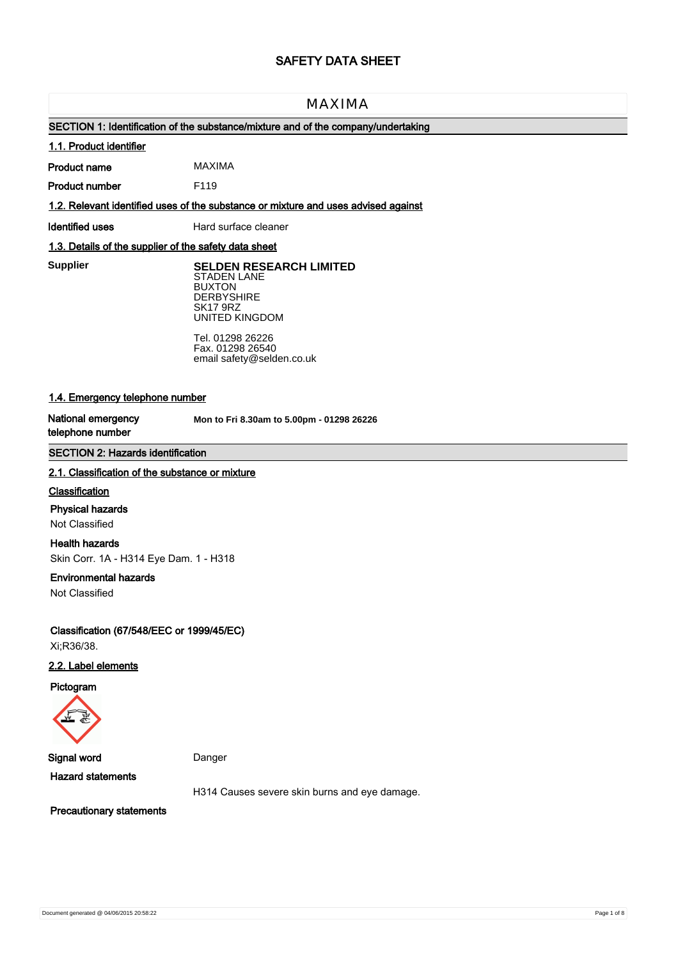# **SAFETY DATA SHEET**

# MAXIMA

# **SECTION 1: Identification of the substance/mixture and of the company/undertaking**

## **1.1. Product identifier**

**Product name** MAXIMA

**Product number** F119

**1.2. Relevant identified uses of the substance or mixture and uses advised against**

**Identified uses** Hard surface cleaner

## **1.3. Details of the supplier of the safety data sheet**

**Supplier** 

**Supplier SELDEN RESEARCH LIMITED** STADEN LANE BUXTON **DERBYSHIRE** SK17 9RZ UNITED KINGDOM

> Tel. 01298 26226 Fax. 01298 26540 email safety@selden.co.uk

# **1.4. Emergency telephone number**

**National emergency telephone number**

**Mon to Fri 8.30am to 5.00pm - 01298 26226**

## **SECTION 2: Hazards identification**

#### **2.1. Classification of the substance or mixture**

#### **Classification**

#### **Physical hazards**

Not Classified

## **Health hazards**

Skin Corr. 1A - H314 Eye Dam. 1 - H318

#### **Environmental hazards**

Not Classified

**Classification (67/548/EEC or 1999/45/EC)** Xi;R36/38.

## **2.2. Label elements**

**Pictogram**



**Signal word** Danger

**Hazard statements**

H314 Causes severe skin burns and eye damage.

**Precautionary statements**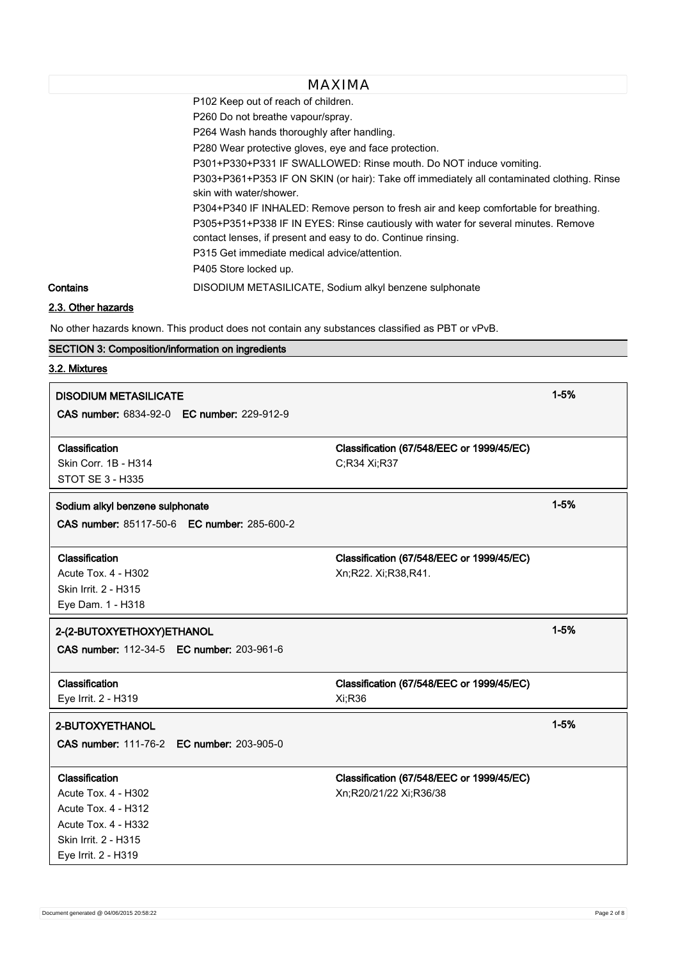P102 Keep out of reach of children.

P260 Do not breathe vapour/spray.

P264 Wash hands thoroughly after handling.

P280 Wear protective gloves, eye and face protection.

P301+P330+P331 IF SWALLOWED: Rinse mouth. Do NOT induce vomiting.

P303+P361+P353 IF ON SKIN (or hair): Take off immediately all contaminated clothing. Rinse skin with water/shower.

P304+P340 IF INHALED: Remove person to fresh air and keep comfortable for breathing.

P305+P351+P338 IF IN EYES: Rinse cautiously with water for several minutes. Remove contact lenses, if present and easy to do. Continue rinsing.

P315 Get immediate medical advice/attention.

P405 Store locked up.

**Contains** DISODIUM METASILICATE, Sodium alkyl benzene sulphonate

# **2.3. Other hazards**

No other hazards known. This product does not contain any substances classified as PBT or vPvB.

## **SECTION 3: Composition/information on ingredients**

# **3.2. Mixtures**

| <b>DISODIUM METASILICATE</b>                       |                                                           |          |  |
|----------------------------------------------------|-----------------------------------------------------------|----------|--|
| CAS number: 6834-92-0 EC number: 229-912-9         |                                                           |          |  |
| Classification<br>Skin Corr. 1B - H314             | Classification (67/548/EEC or 1999/45/EC)<br>C;R34 Xi;R37 |          |  |
| <b>STOT SE 3 - H335</b>                            |                                                           |          |  |
| Sodium alkyl benzene sulphonate                    |                                                           | $1 - 5%$ |  |
| CAS number: 85117-50-6 EC number: 285-600-2        |                                                           |          |  |
| Classification                                     | Classification (67/548/EEC or 1999/45/EC)                 |          |  |
| <b>Acute Tox. 4 - H302</b><br>Skin Irrit. 2 - H315 | Xn;R22. Xi;R38,R41.                                       |          |  |
| Eye Dam. 1 - H318                                  |                                                           |          |  |
| 2-(2-BUTOXYETHOXY)ETHANOL                          |                                                           | $1 - 5%$ |  |
| CAS number: 112-34-5 EC number: 203-961-6          |                                                           |          |  |
| Classification                                     | Classification (67/548/EEC or 1999/45/EC)                 |          |  |
| Eye Irrit. 2 - H319                                | Xi;R36                                                    |          |  |
| 2-BUTOXYETHANOL                                    |                                                           | $1 - 5%$ |  |
| <b>CAS number: 111-76-2 EC number: 203-905-0</b>   |                                                           |          |  |
| Classification                                     | Classification (67/548/EEC or 1999/45/EC)                 |          |  |
| <b>Acute Tox. 4 - H302</b>                         | Xn;R20/21/22 Xi;R36/38                                    |          |  |
| <b>Acute Tox. 4 - H312</b>                         |                                                           |          |  |
| Acute Tox. 4 - H332                                |                                                           |          |  |
| Skin Irrit. 2 - H315<br>Eye Irrit. 2 - H319        |                                                           |          |  |
|                                                    |                                                           |          |  |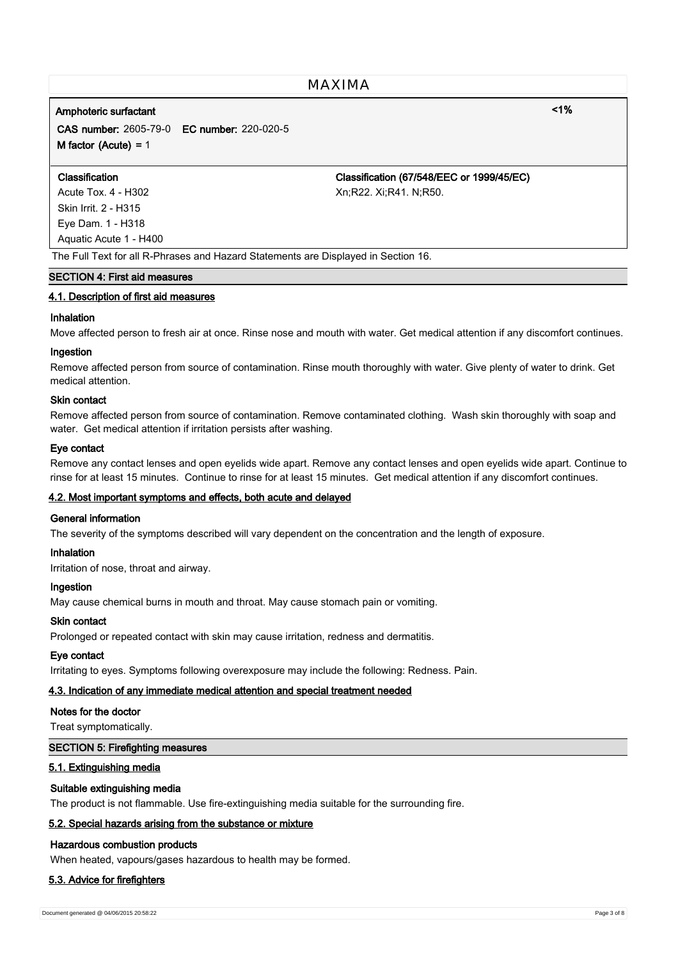# **Amphoteric surfactant <1%**

**CAS number:** 2605-79-0 **EC number:** 220-020-5 **M factor (Acute) =** 1

Skin Irrit. 2 - H315 Eye Dam. 1 - H318 Aquatic Acute 1 - H400

**Classification Classification (67/548/EEC or 1999/45/EC)** Acute Tox. 4 - H302 Xn;R22. Xi;R41. N;R50.

#### The Full Text for all R-Phrases and Hazard Statements are Displayed in Section 16.

## **SECTION 4: First aid measures**

#### **4.1. Description of first aid measures**

## **Inhalation**

Move affected person to fresh air at once. Rinse nose and mouth with water. Get medical attention if any discomfort continues.

## **Ingestion**

Remove affected person from source of contamination. Rinse mouth thoroughly with water. Give plenty of water to drink. Get medical attention.

#### **Skin contact**

Remove affected person from source of contamination. Remove contaminated clothing. Wash skin thoroughly with soap and water. Get medical attention if irritation persists after washing.

#### **Eye contact**

Remove any contact lenses and open eyelids wide apart. Remove any contact lenses and open eyelids wide apart. Continue to rinse for at least 15 minutes. Continue to rinse for at least 15 minutes. Get medical attention if any discomfort continues.

## **4.2. Most important symptoms and effects, both acute and delayed**

## **General information**

The severity of the symptoms described will vary dependent on the concentration and the length of exposure.

#### **Inhalation**

Irritation of nose, throat and airway.

#### **Ingestion**

May cause chemical burns in mouth and throat. May cause stomach pain or vomiting.

#### **Skin contact**

Prolonged or repeated contact with skin may cause irritation, redness and dermatitis.

## **Eye contact**

Irritating to eyes. Symptoms following overexposure may include the following: Redness. Pain.

#### **4.3. Indication of any immediate medical attention and special treatment needed**

#### **Notes for the doctor**

Treat symptomatically.

#### **SECTION 5: Firefighting measures**

## **5.1. Extinguishing media**

#### **Suitable extinguishing media**

The product is not flammable. Use fire-extinguishing media suitable for the surrounding fire.

#### **5.2. Special hazards arising from the substance or mixture**

#### **Hazardous combustion products**

When heated, vapours/gases hazardous to health may be formed.

#### **5.3. Advice for firefighters**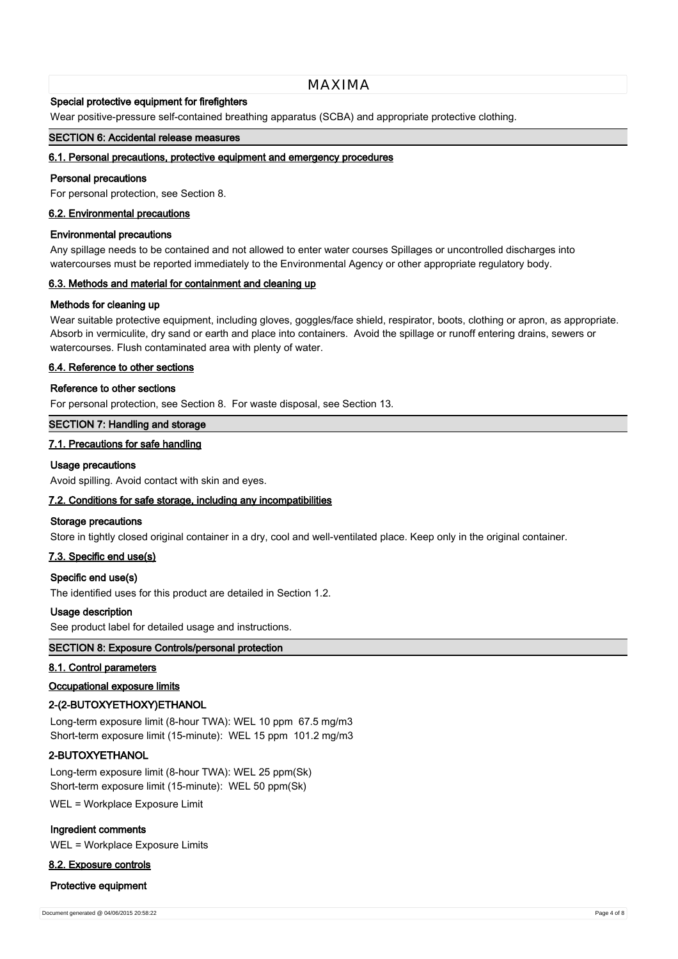#### **Special protective equipment for firefighters**

Wear positive-pressure self-contained breathing apparatus (SCBA) and appropriate protective clothing.

#### **SECTION 6: Accidental release measures**

#### **6.1. Personal precautions, protective equipment and emergency procedures**

#### **Personal precautions**

For personal protection, see Section 8.

#### **6.2. Environmental precautions**

#### **Environmental precautions**

Any spillage needs to be contained and not allowed to enter water courses Spillages or uncontrolled discharges into watercourses must be reported immediately to the Environmental Agency or other appropriate regulatory body.

#### **6.3. Methods and material for containment and cleaning up**

#### **Methods for cleaning up**

Wear suitable protective equipment, including gloves, goggles/face shield, respirator, boots, clothing or apron, as appropriate. Absorb in vermiculite, dry sand or earth and place into containers. Avoid the spillage or runoff entering drains, sewers or watercourses. Flush contaminated area with plenty of water.

#### **6.4. Reference to other sections**

#### **Reference to other sections**

For personal protection, see Section 8. For waste disposal, see Section 13.

#### **SECTION 7: Handling and storage**

#### **7.1. Precautions for safe handling**

#### **Usage precautions**

Avoid spilling. Avoid contact with skin and eyes.

#### **7.2. Conditions for safe storage, including any incompatibilities**

#### **Storage precautions**

Store in tightly closed original container in a dry, cool and well-ventilated place. Keep only in the original container.

## **7.3. Specific end use(s)**

#### **Specific end use(s)**

The identified uses for this product are detailed in Section 1.2.

#### **Usage description**

See product label for detailed usage and instructions.

# **SECTION 8: Exposure Controls/personal protection**

## **8.1. Control parameters**

#### **Occupational exposure limits**

#### **2-(2-BUTOXYETHOXY)ETHANOL**

Long-term exposure limit (8-hour TWA): WEL 10 ppm 67.5 mg/m3 Short-term exposure limit (15-minute): WEL 15 ppm 101.2 mg/m3

## **2-BUTOXYETHANOL**

Long-term exposure limit (8-hour TWA): WEL 25 ppm(Sk) Short-term exposure limit (15-minute): WEL 50 ppm(Sk)

WEL = Workplace Exposure Limit

#### **Ingredient comments**

WEL = Workplace Exposure Limits

## **8.2. Exposure controls**

#### **Protective equipment**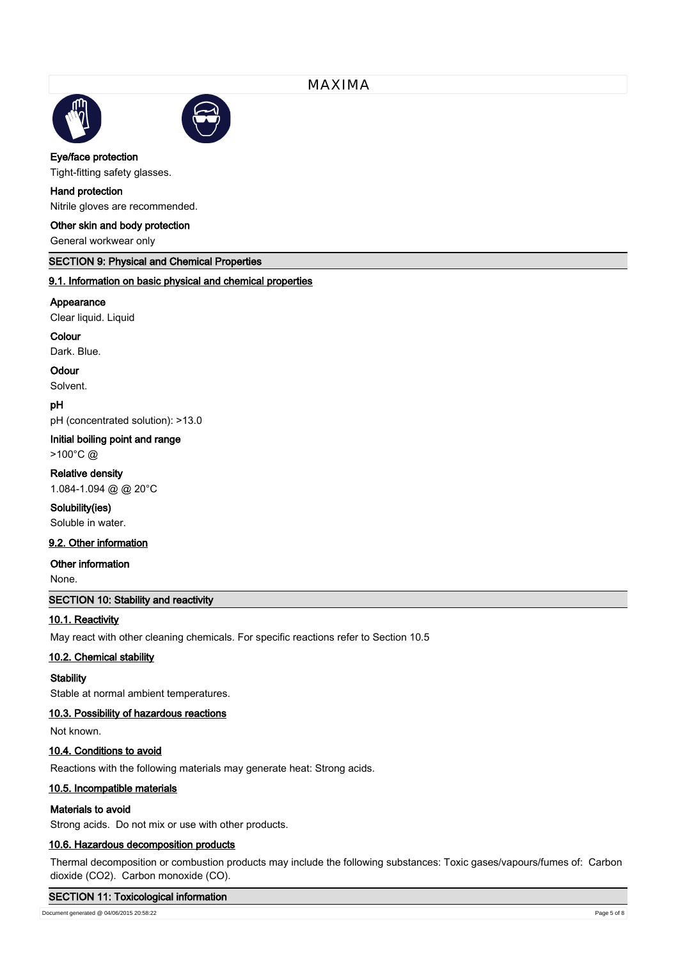



**Eye/face protection**

Tight-fitting safety glasses.

# **Hand protection**

Nitrile gloves are recommended.

## **Other skin and body protection**

General workwear only

## **SECTION 9: Physical and Chemical Properties**

# **9.1. Information on basic physical and chemical properties**

#### **Appearance**

Clear liquid. Liquid

# **Colour**

Dark. Blue.

#### **Odour**

Solvent.

## **pH**

pH (concentrated solution): >13.0

#### **Initial boiling point and range**

>100°C @

# **Relative density**

1.084-1.094 @ @ 20°C

## **Solubility(ies)**

Soluble in water.

# **9.2. Other information**

## **Other information**

None.

# **SECTION 10: Stability and reactivity**

# **10.1. Reactivity**

May react with other cleaning chemicals. For specific reactions refer to Section 10.5

## **10.2. Chemical stability**

#### **Stability**

Stable at normal ambient temperatures.

# **10.3. Possibility of hazardous reactions**

Not known.

## **10.4. Conditions to avoid**

Reactions with the following materials may generate heat: Strong acids.

#### **10.5. Incompatible materials**

#### **Materials to avoid**

Strong acids. Do not mix or use with other products.

## **10.6. Hazardous decomposition products**

Thermal decomposition or combustion products may include the following substances: Toxic gases/vapours/fumes of: Carbon dioxide (CO2). Carbon monoxide (CO).

## **SECTION 11: Toxicological information**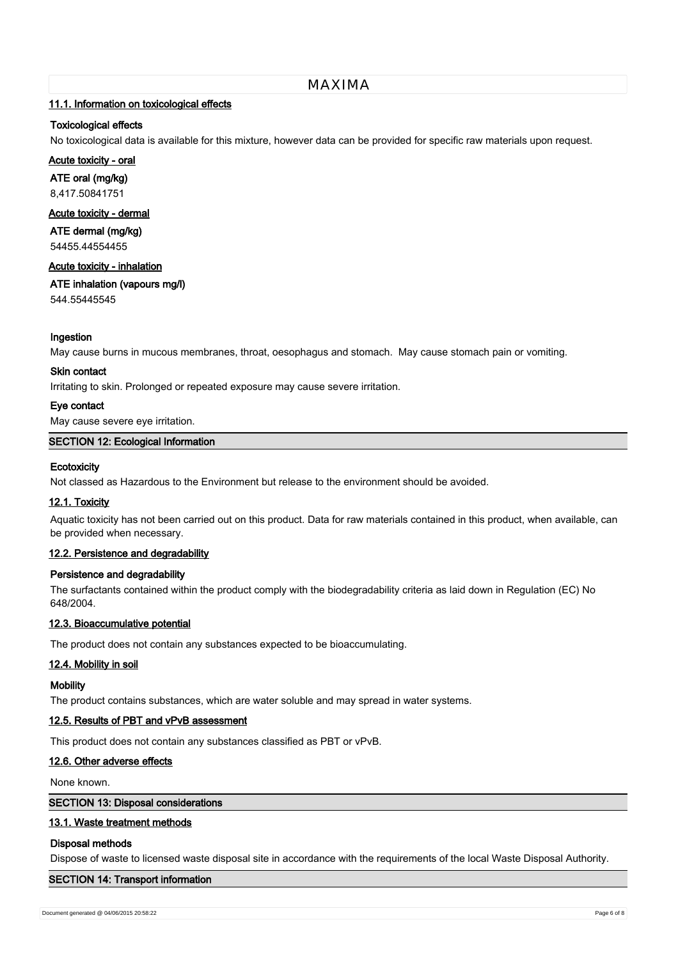## **11.1. Information on toxicological effects**

## **Toxicological effects**

No toxicological data is available for this mixture, however data can be provided for specific raw materials upon request.

# **Acute toxicity - oral**

**ATE oral (mg/kg)** 8,417.50841751

# **Acute toxicity - dermal**

**ATE dermal (mg/kg)**

54455.44554455

#### **Acute toxicity - inhalation**

**ATE inhalation (vapours mg/l)**

544.55445545

## **Ingestion**

May cause burns in mucous membranes, throat, oesophagus and stomach. May cause stomach pain or vomiting.

#### **Skin contact**

Irritating to skin. Prolonged or repeated exposure may cause severe irritation.

## **Eye contact**

May cause severe eye irritation.

## **SECTION 12: Ecological Information**

## **Ecotoxicity**

Not classed as Hazardous to the Environment but release to the environment should be avoided.

## **12.1. Toxicity**

Aquatic toxicity has not been carried out on this product. Data for raw materials contained in this product, when available, can be provided when necessary.

## **12.2. Persistence and degradability**

## **Persistence and degradability**

The surfactants contained within the product comply with the biodegradability criteria as laid down in Regulation (EC) No 648/2004.

## **12.3. Bioaccumulative potential**

The product does not contain any substances expected to be bioaccumulating.

## **12.4. Mobility in soil**

## **Mobility**

The product contains substances, which are water soluble and may spread in water systems.

## **12.5. Results of PBT and vPvB assessment**

This product does not contain any substances classified as PBT or vPvB.

## **12.6. Other adverse effects**

None known.

## **SECTION 13: Disposal considerations**

## **13.1. Waste treatment methods**

## **Disposal methods**

Dispose of waste to licensed waste disposal site in accordance with the requirements of the local Waste Disposal Authority.

# **SECTION 14: Transport information**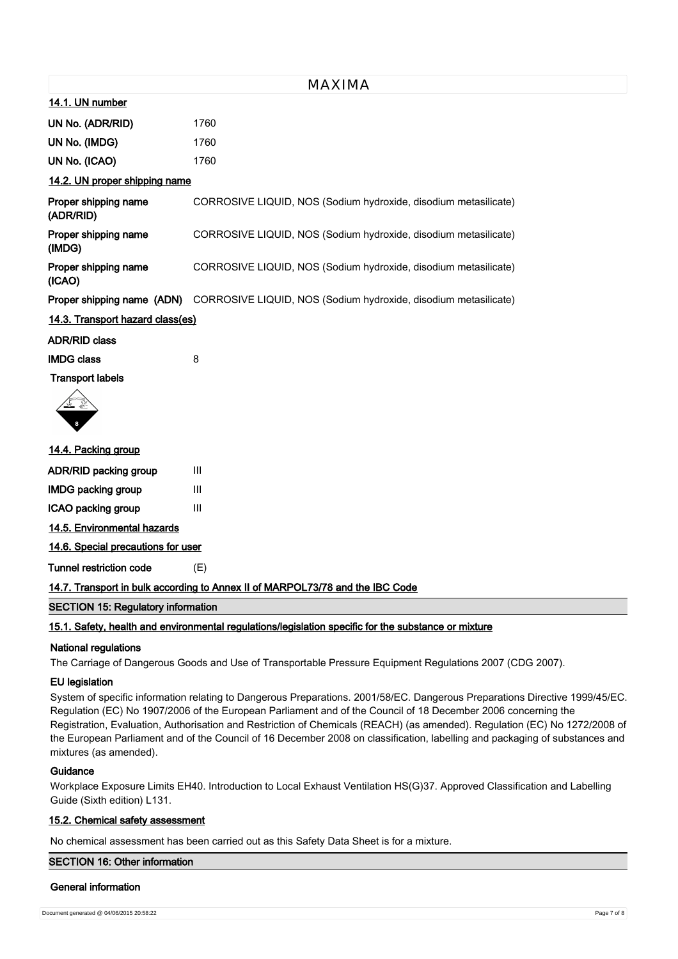|  |  | 14.1. UN number |  |  |  |  |  |  |
|--|--|-----------------|--|--|--|--|--|--|
|  |  |                 |  |  |  |  |  |  |

| UN No. (ADR/RID) | 1760 |
|------------------|------|
| UN No. (IMDG)    | 1760 |
| UN No. (ICAO)    | 1760 |

## **14.2. UN proper shipping name**

| Proper shipping name<br>(ADR/RID) | CORROSIVE LIQUID, NOS (Sodium hydroxide, disodium metasilicate) |
|-----------------------------------|-----------------------------------------------------------------|
| Proper shipping name<br>(IMDG)    | CORROSIVE LIQUID, NOS (Sodium hydroxide, disodium metasilicate) |
| Proper shipping name<br>(ICAO)    | CORROSIVE LIQUID, NOS (Sodium hydroxide, disodium metasilicate) |
| Proper shipping name (ADN)        | CORROSIVE LIQUID, NOS (Sodium hydroxide, disodium metasilicate) |

#### **14.3. Transport hazard class(es)**

## **ADR/RID class**

**IMDG class** 8 **Transport labels**



# **14.4. Packing group**

| <b>ADR/RID packing group</b> | Ш |
|------------------------------|---|
| <b>IMDG packing group</b>    | Ш |
| ICAO packing group           | Ш |
| 14.5. Environmental hazards  |   |

**14.6. Special precautions for user**

**Tunnel restriction code** (E)

## **14.7. Transport in bulk according to Annex II of MARPOL73/78 and the IBC Code**

## **SECTION 15: Regulatory information**

# **15.1. Safety, health and environmental regulations/legislation specific for the substance or mixture**

## **National regulations**

The Carriage of Dangerous Goods and Use of Transportable Pressure Equipment Regulations 2007 (CDG 2007).

#### **EU legislation**

System of specific information relating to Dangerous Preparations. 2001/58/EC. Dangerous Preparations Directive 1999/45/EC. Regulation (EC) No 1907/2006 of the European Parliament and of the Council of 18 December 2006 concerning the Registration, Evaluation, Authorisation and Restriction of Chemicals (REACH) (as amended). Regulation (EC) No 1272/2008 of the European Parliament and of the Council of 16 December 2008 on classification, labelling and packaging of substances and mixtures (as amended).

## **Guidance**

Workplace Exposure Limits EH40. Introduction to Local Exhaust Ventilation HS(G)37. Approved Classification and Labelling Guide (Sixth edition) L131.

## **15.2. Chemical safety assessment**

No chemical assessment has been carried out as this Safety Data Sheet is for a mixture.

#### **SECTION 16: Other information**

#### **General information**